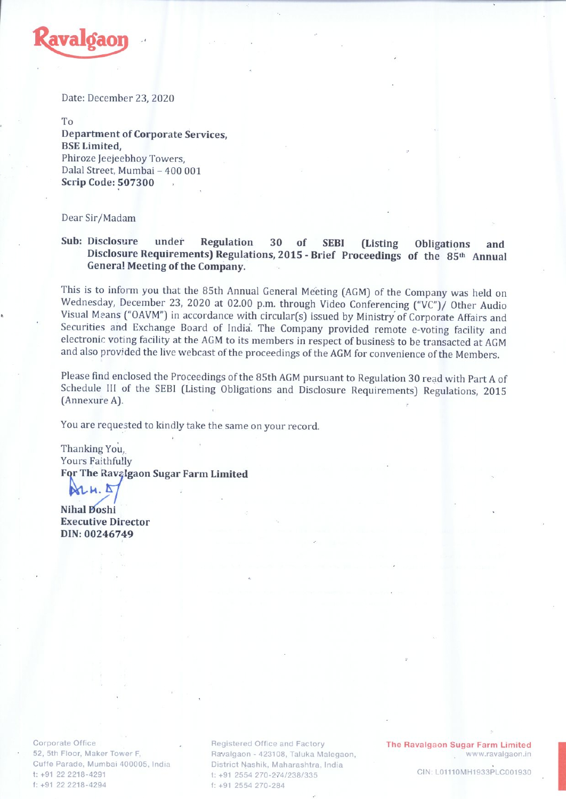

Date: December 23, 2020

To Department of Corporate Services, BSE Limited, Phiroze ]eejeebhoy Towers, Dalal Street, Mumbai - 400 001 Scrip Code: 507300

Dear Sir/Madam

## Sub: Disclosure under Regulation <sup>30</sup> of SEBI (Listing Obligations and Disclosure Requirements) Regulations, 2015 - Brief Proceedings of the 85<sup>th</sup> Annual Genera! Meeting of the Company.

This is to inform you that the 85th Annual General Meeting (AGM) of the Company was held on Wednesday, December 23, <sup>2020</sup> at 02.00 p.m. through Video Conferencing ("VC")/ Other Audio Visual Means ("OAVM") in accordance with circular(s) issued by Ministry of Corporate Affairs and Securities and Exchange Board of India. The Company provided remote e-voting facility and electronic voting facility at the AGM to its members in respect of business to be transacted at AGM and also provided the live webcast of the proceedings of the AGM for convenience of the Members.

Please find enclosed the Proceedings of the 85th AGM pursuant to Regulation <sup>30</sup> read with Part <sup>A</sup> of Schedule Ill of the SEBI (Listing Obligations and Disclosure Requirements) Regulations, <sup>2015</sup> (Annexure A).

You are requested to kindly take the same on your record.

Thanking You, Yours Faithfully For The Ravalgaon Sugar Farm Limited

 $\mathbb{R}$   $\mathbb{R}$  .  $\mathbb{R}$  .

Executive Director DIN:00246749

Corporate Office 52, 5th Floor, Maker Tower F, Cuffe Parade, Mumbai 400005, India t: +91 22 2218-4291 f: +91 22 2218-4294

Registered Office and Factory Ravalgaon - 423108, Taluka Malegaon, District Nashik, Maharashtra, India t: +91 2554 270-274/238/335 Registered Office and Factory **The Ravalgaon Sugar Farm Limited**<br>Favalgaon - 423108, Taluka Malegaon, **n CIN LONITO WWW.ravalgaon.ir**<br>District Nashik, Maharashtra, India (1. +91 2554 270-274/238/335)<br>f: +91 2554 270-284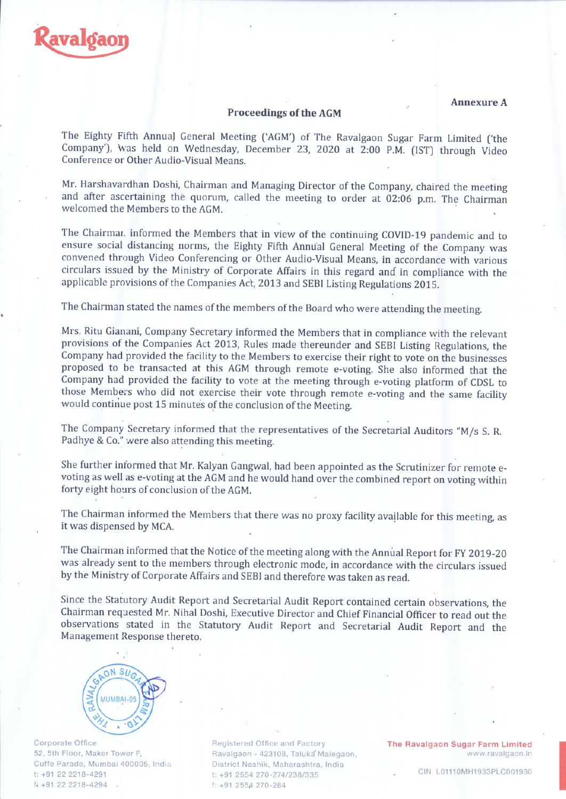

## Proceedings of the AGM

AnnexureA

The Eighty Fifth Annual General Meeting ('AGM') of The Ravalgaon Sugar Farm Limited ('the Company'), was held on Wednesday, December 23, <sup>2020</sup> at 2:00 P.M. (1ST) through Video Conference or Other Audio-Visual Means.

Mr. Harshavardhan Doshi, Chairman and Managing Director of the Company, chaired the meeting and after ascertaining the quorum, called the meeting to order at 02:06 p.m. The Chairman welcomed the Members to the AGM.

The Chairrnar. informed the Members that in view of the continuing COVID-19 pandemic and to ensure social distancing norms, the Eighty Fifth Annual General Meeting of the Company was convened through Video Conferencing or Other Audio-Visual Means, in accordance with various circulars issued by the Ministry of Corporate Affairs in this regard and in compliance with the applicable provisions of the Companies Act, 2013 and SEBI Listing Regulations 2015.

The Chairman stated the names of the members of the Board who were attending the meeting.

Mrs. Ritu Gianani, Company Secretary informed the Members that in compliance with the relevant provisions of the Companies Act 2013, Rules made thereunder and SEBI Listing Regulations, the Company had provided the facility to the Members to exercise their right to vote on the businesses proposed to be transacted at this AGM through remote e-voting. She also informed that the Company had provided the facility to vote at the meeting through e-voting platform of CDSL to those Members who did not exercise their vote through remote e-voting and the same facility would continue post 15 minutes of the conclusion of the Meeting.

The Company Secretary informed that the representatives of the Secretarial Auditors "M/s S. R. Padhye & Co." were also attending this meeting.

She further informed that Mr. Kalyan Gangwal, had been appointed as the Scrutinizer for remote e voting as well as e-voting at the AGM and he would hand over the combined report on voting within forty eight hours of conclusion of the AGM.

The Chairman informed the Members that there was no proxy facility available for this meeting, as it was dispensed by MCA.

The Chairman informed that the Notice of the meeting along with the Annual Report for FY 2019-20 was already sent to the members through electronic mode, in accordance with the circulars issued by the Ministry of Corporate Affairs and SEBI and therefore was taken as read.

Since the Statutory Audit Report and Secretarial Audit Report contained certain observations, the Chairman requested Mr. Nihal Doshi, Executive Director and Chief Financial Officer to read out the observations stated in the Statutory Audit Report and Secretarial Audit Report and the Management Response thereto.



Corporate Office 52, 5th Floor, Maker Tower F, Cuffe Parade, Mumbai 400005, India t: +91 22 2218-4291 Corporate Office<br>
52, 5th Floor, Maker Tower F, Ravalgaon - 423108, Taluka N<br>
Cuffe Parade, Mumbai 400005, India District Nashik, Maharashtra<br>
t: +91 22 2218-4291 t: +91 2554 270-274/238/335<br>
f: +91 2554 270-284

Ravalgaon - 423108, Taluka' Malegaon, District Nashik, Maharashtra, India t: +91 2554 270-274/238/335 <sup>I</sup> +91 255s1 270-284 The Ravalgaon Sugar Farm Limited

www.ravalgaon.in The Ravalgaon Sugar Farm Limited<br>www.ravalgaon.in<br>CIN: L01110MH1933PLC001930